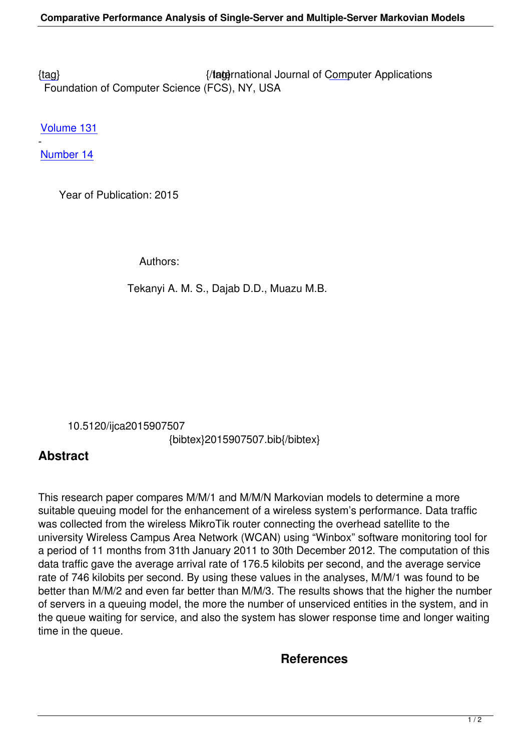{tag} International Journal of Computer Applications Foundation of Computer Science (FCS), NY, USA

[Volu](/research/volume131/number14/tekanyi-2015-ijca-907507.pdf)me 131

- Number 14

 [Year of](/archives/volume131/number14) Publication: 2015

Authors:

Tekanyi A. M. S., Dajab D.D., Muazu M.B.

10.5120/ijca2015907507

{bibtex}2015907507.bib{/bibtex}

## **Abstract**

This research paper compares M/M/1 and M/M/N Markovian models to determine a more suitable queuing model for the enhancement of a wireless system's performance. Data traffic was collected from the wireless MikroTik router connecting the overhead satellite to the university Wireless Campus Area Network (WCAN) using "Winbox" software monitoring tool for a period of 11 months from 31th January 2011 to 30th December 2012. The computation of this data traffic gave the average arrival rate of 176.5 kilobits per second, and the average service rate of 746 kilobits per second. By using these values in the analyses, M/M/1 was found to be better than M/M/2 and even far better than M/M/3. The results shows that the higher the number of servers in a queuing model, the more the number of unserviced entities in the system, and in the queue waiting for service, and also the system has slower response time and longer waiting time in the queue.

## **References**